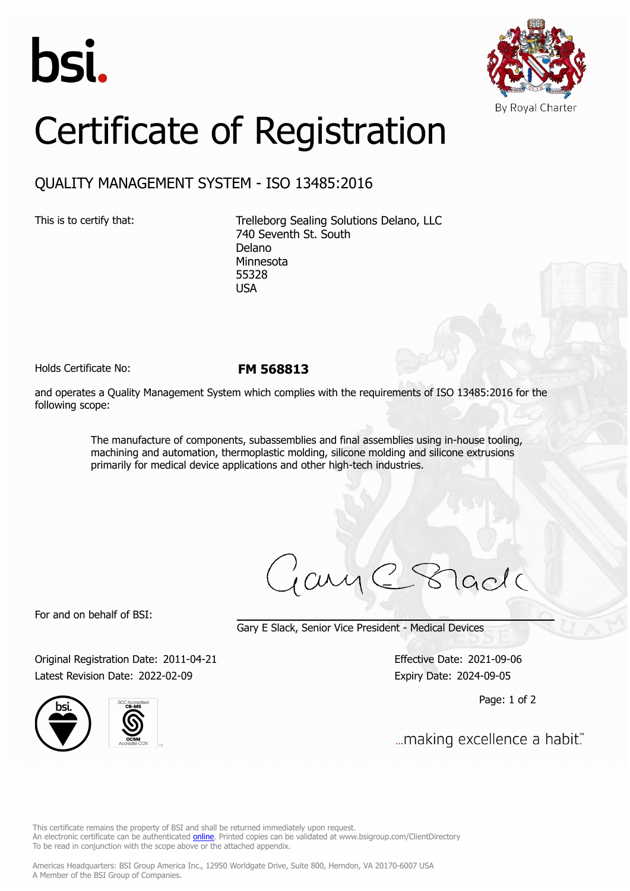



## Certificate of Registration

## QUALITY MANAGEMENT SYSTEM - ISO 13485:2016

This is to certify that: Trelleborg Sealing Solutions Delano, LLC 740 Seventh St. South Delano Minnesota 55328 USA

Holds Certificate No: **FM 568813**

and operates a Quality Management System which complies with the requirements of ISO 13485:2016 for the following scope:

> The manufacture of components, subassemblies and final assemblies using in-house tooling, machining and automation, thermoplastic molding, silicone molding and silicone extrusions primarily for medical device applications and other high-tech industries.

ary

For and on behalf of BSI:

Gary E Slack, Senior Vice President - Medical Devices

Original Registration Date: 2011-04-21 Effective Date: 2021-09-06 Latest Revision Date: 2022-02-09 **Expiry Date: 2024-09-05** 





Page: 1 of 2

... making excellence a habit."

This certificate remains the property of BSI and shall be returned immediately upon request. An electronic certificate can be authenticated *[online](https://pgplus.bsigroup.com/CertificateValidation/CertificateValidator.aspx?CertificateNumber=FM+568813&ReIssueDate=09%2f02%2f2022&Template=inc)*. Printed copies can be validated at www.bsigroup.com/ClientDirectory To be read in conjunction with the scope above or the attached appendix.

Americas Headquarters: BSI Group America Inc., 12950 Worldgate Drive, Suite 800, Herndon, VA 20170-6007 USA A Member of the BSI Group of Companies.